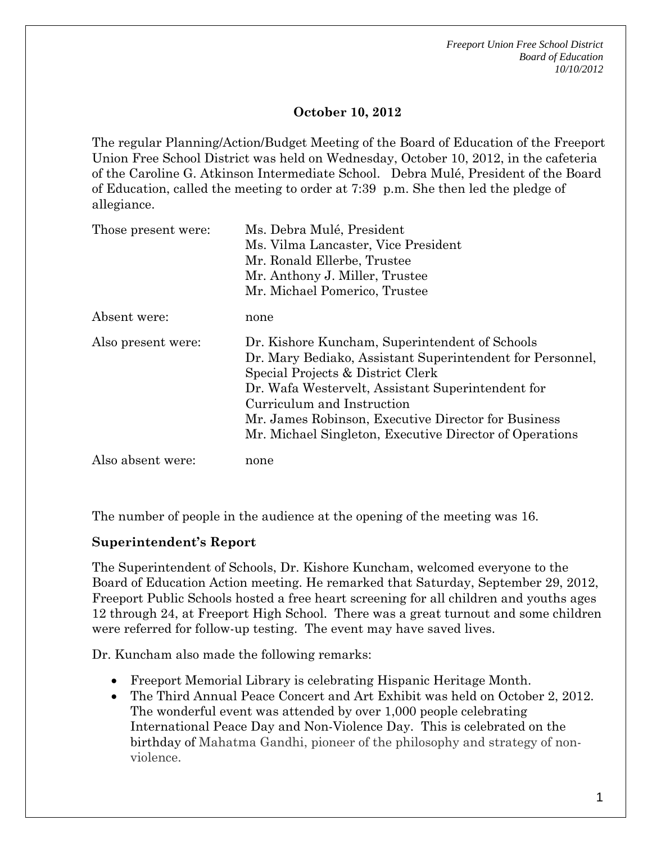*Freeport Union Free School District Board of Education 10/10/2012* 

### **October 10, 2012**

The regular Planning/Action/Budget Meeting of the Board of Education of the Freeport Union Free School District was held on Wednesday, October 10, 2012, in the cafeteria of the Caroline G. Atkinson Intermediate School. Debra Mulé, President of the Board of Education, called the meeting to order at 7:39 p.m. She then led the pledge of allegiance.

| Those present were: | Ms. Debra Mulé, President<br>Ms. Vilma Lancaster, Vice President<br>Mr. Ronald Ellerbe, Trustee<br>Mr. Anthony J. Miller, Trustee<br>Mr. Michael Pomerico, Trustee                                                                                                                                                                                    |
|---------------------|-------------------------------------------------------------------------------------------------------------------------------------------------------------------------------------------------------------------------------------------------------------------------------------------------------------------------------------------------------|
| Absent were:        | none                                                                                                                                                                                                                                                                                                                                                  |
| Also present were:  | Dr. Kishore Kuncham, Superintendent of Schools<br>Dr. Mary Bediako, Assistant Superintendent for Personnel,<br>Special Projects & District Clerk<br>Dr. Wafa Westervelt, Assistant Superintendent for<br>Curriculum and Instruction<br>Mr. James Robinson, Executive Director for Business<br>Mr. Michael Singleton, Executive Director of Operations |
| Also absent were:   | none                                                                                                                                                                                                                                                                                                                                                  |

The number of people in the audience at the opening of the meeting was 16.

### **Superintendent's Report**

The Superintendent of Schools, Dr. Kishore Kuncham, welcomed everyone to the Board of Education Action meeting. He remarked that Saturday, September 29, 2012, Freeport Public Schools hosted a free heart screening for all children and youths ages 12 through 24, at Freeport High School. There was a great turnout and some children were referred for follow-up testing. The event may have saved lives.

Dr. Kuncham also made the following remarks:

- Freeport Memorial Library is celebrating Hispanic Heritage Month.
- The Third Annual Peace Concert and Art Exhibit was held on October 2, 2012. The wonderful event was attended by over 1,000 people celebrating International Peace Day and Non-Violence Day. This is celebrated on the birthday of Mahatma Gandhi, pioneer of the philosophy and strategy of nonviolence.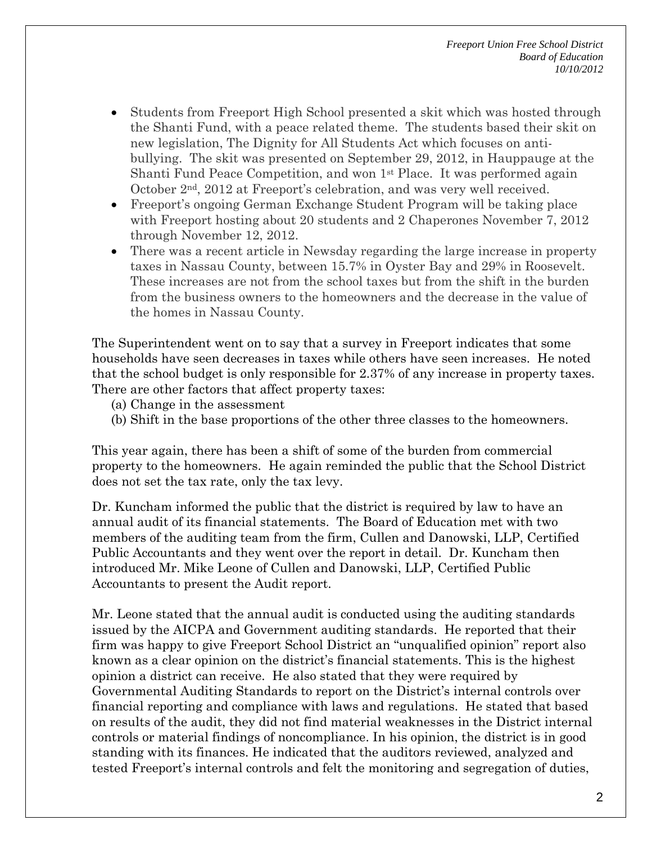- Students from Freeport High School presented a skit which was hosted through the Shanti Fund, with a peace related theme. The students based their skit on new legislation, The Dignity for All Students Act which focuses on antibullying. The skit was presented on September 29, 2012, in Hauppauge at the Shanti Fund Peace Competition, and won 1st Place. It was performed again October 2nd, 2012 at Freeport's celebration, and was very well received.
- Freeport's ongoing German Exchange Student Program will be taking place with Freeport hosting about 20 students and 2 Chaperones November 7, 2012 through November 12, 2012.
- There was a recent article in Newsday regarding the large increase in property taxes in Nassau County, between 15.7% in Oyster Bay and 29% in Roosevelt. These increases are not from the school taxes but from the shift in the burden from the business owners to the homeowners and the decrease in the value of the homes in Nassau County.

The Superintendent went on to say that a survey in Freeport indicates that some households have seen decreases in taxes while others have seen increases. He noted that the school budget is only responsible for 2.37% of any increase in property taxes. There are other factors that affect property taxes:

- (a) Change in the assessment
- (b) Shift in the base proportions of the other three classes to the homeowners.

This year again, there has been a shift of some of the burden from commercial property to the homeowners. He again reminded the public that the School District does not set the tax rate, only the tax levy.

Dr. Kuncham informed the public that the district is required by law to have an annual audit of its financial statements. The Board of Education met with two members of the auditing team from the firm, Cullen and Danowski, LLP, Certified Public Accountants and they went over the report in detail. Dr. Kuncham then introduced Mr. Mike Leone of Cullen and Danowski, LLP, Certified Public Accountants to present the Audit report.

Mr. Leone stated that the annual audit is conducted using the auditing standards issued by the AICPA and Government auditing standards. He reported that their firm was happy to give Freeport School District an "unqualified opinion" report also known as a clear opinion on the district's financial statements. This is the highest opinion a district can receive. He also stated that they were required by Governmental Auditing Standards to report on the District's internal controls over financial reporting and compliance with laws and regulations. He stated that based on results of the audit, they did not find material weaknesses in the District internal controls or material findings of noncompliance. In his opinion, the district is in good standing with its finances. He indicated that the auditors reviewed, analyzed and tested Freeport's internal controls and felt the monitoring and segregation of duties,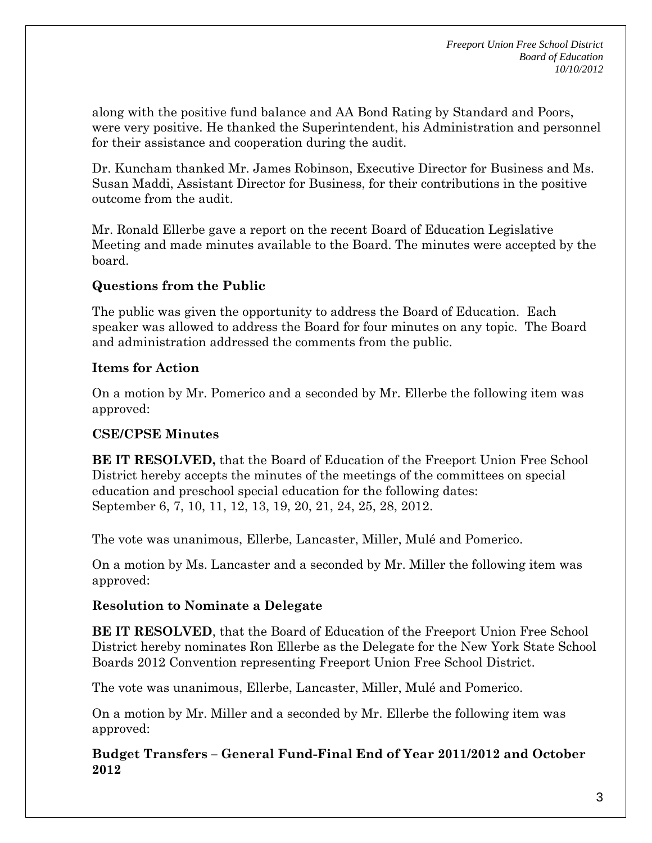along with the positive fund balance and AA Bond Rating by Standard and Poors, were very positive. He thanked the Superintendent, his Administration and personnel for their assistance and cooperation during the audit.

Dr. Kuncham thanked Mr. James Robinson, Executive Director for Business and Ms. Susan Maddi, Assistant Director for Business, for their contributions in the positive outcome from the audit.

Mr. Ronald Ellerbe gave a report on the recent Board of Education Legislative Meeting and made minutes available to the Board. The minutes were accepted by the board.

# **Questions from the Public**

The public was given the opportunity to address the Board of Education. Each speaker was allowed to address the Board for four minutes on any topic. The Board and administration addressed the comments from the public.

# **Items for Action**

On a motion by Mr. Pomerico and a seconded by Mr. Ellerbe the following item was approved:

# **CSE/CPSE Minutes**

**BE IT RESOLVED,** that the Board of Education of the Freeport Union Free School District hereby accepts the minutes of the meetings of the committees on special education and preschool special education for the following dates: September 6, 7, 10, 11, 12, 13, 19, 20, 21, 24, 25, 28, 2012.

The vote was unanimous, Ellerbe, Lancaster, Miller, Mulé and Pomerico.

On a motion by Ms. Lancaster and a seconded by Mr. Miller the following item was approved:

# **Resolution to Nominate a Delegate**

**BE IT RESOLVED**, that the Board of Education of the Freeport Union Free School District hereby nominates Ron Ellerbe as the Delegate for the New York State School Boards 2012 Convention representing Freeport Union Free School District.

The vote was unanimous, Ellerbe, Lancaster, Miller, Mulé and Pomerico.

On a motion by Mr. Miller and a seconded by Mr. Ellerbe the following item was approved:

**Budget Transfers – General Fund-Final End of Year 2011/2012 and October 2012**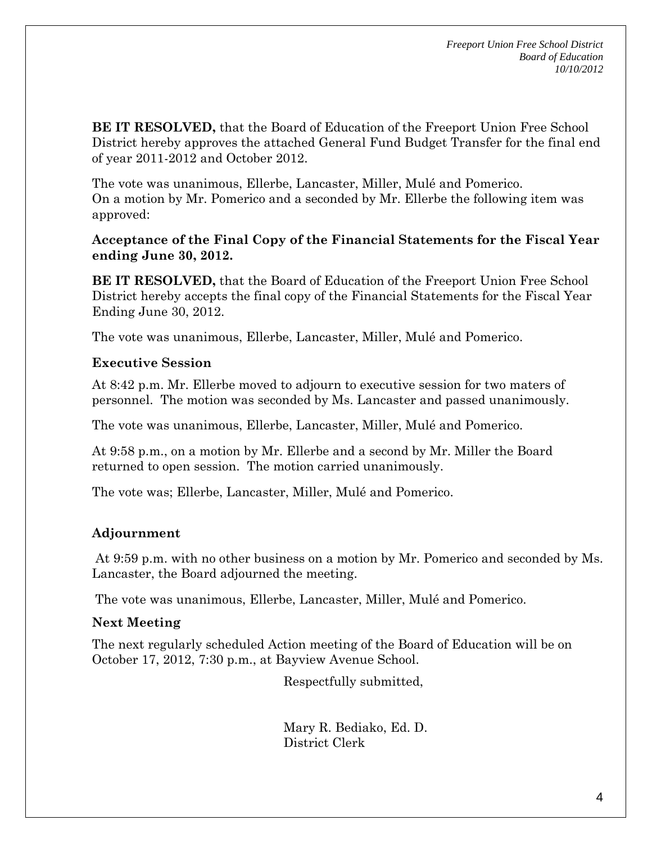**BE IT RESOLVED,** that the Board of Education of the Freeport Union Free School District hereby approves the attached General Fund Budget Transfer for the final end of year 2011-2012 and October 2012.

The vote was unanimous, Ellerbe, Lancaster, Miller, Mulé and Pomerico. On a motion by Mr. Pomerico and a seconded by Mr. Ellerbe the following item was approved:

### **Acceptance of the Final Copy of the Financial Statements for the Fiscal Year ending June 30, 2012.**

**BE IT RESOLVED,** that the Board of Education of the Freeport Union Free School District hereby accepts the final copy of the Financial Statements for the Fiscal Year Ending June 30, 2012.

The vote was unanimous, Ellerbe, Lancaster, Miller, Mulé and Pomerico.

### **Executive Session**

At 8:42 p.m. Mr. Ellerbe moved to adjourn to executive session for two maters of personnel. The motion was seconded by Ms. Lancaster and passed unanimously.

The vote was unanimous, Ellerbe, Lancaster, Miller, Mulé and Pomerico.

At 9:58 p.m., on a motion by Mr. Ellerbe and a second by Mr. Miller the Board returned to open session. The motion carried unanimously.

The vote was; Ellerbe, Lancaster, Miller, Mulé and Pomerico.

# **Adjournment**

 At 9:59 p.m. with no other business on a motion by Mr. Pomerico and seconded by Ms. Lancaster, the Board adjourned the meeting.

The vote was unanimous, Ellerbe, Lancaster, Miller, Mulé and Pomerico.

# **Next Meeting**

The next regularly scheduled Action meeting of the Board of Education will be on October 17, 2012, 7:30 p.m., at Bayview Avenue School.

Respectfully submitted,

Mary R. Bediako, Ed. D. District Clerk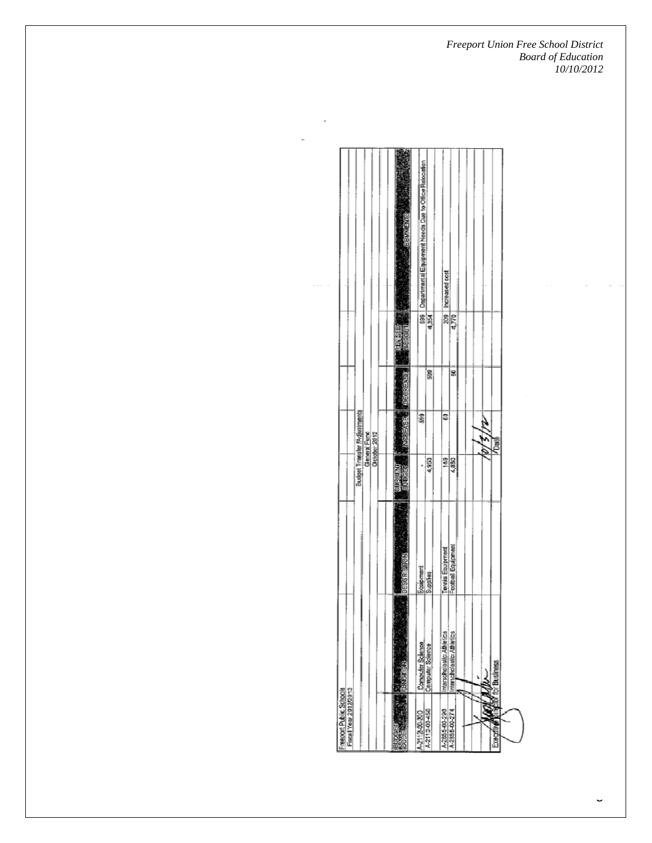*Freeport Union Free School District Board of Education 10/10/2012* 

|                                                              |                                                              |  | <b>REMENSION</b>      | Departmental Equipment Needs Due to Office Relocation |          | Increased cost            |                                        |  |  |                             |  |
|--------------------------------------------------------------|--------------------------------------------------------------|--|-----------------------|-------------------------------------------------------|----------|---------------------------|----------------------------------------|--|--|-----------------------------|--|
|                                                              |                                                              |  |                       |                                                       | 83       | B)                        | 4,770                                  |  |  |                             |  |
|                                                              |                                                              |  | Ć                     |                                                       | 8        |                           | 8                                      |  |  |                             |  |
|                                                              | Budget Transler Mdjestraents<br>General Fund<br>October 2012 |  | <b>MARRIESE</b>       | 8                                                     |          | 9                         |                                        |  |  | Ē                           |  |
|                                                              |                                                              |  |                       | ä                                                     | Ş        | 뻬                         | 4,830                                  |  |  |                             |  |
|                                                              |                                                              |  | <b>CIER A DISTILL</b> | Equipment                                             | Supples  |                           | Tennis Equipment<br>Football Equipment |  |  |                             |  |
|                                                              |                                                              |  | <b>TANKING</b>        | Computer Science<br>Computer Science                  |          | Interscholastic Althetics | Interscholastic Athletics              |  |  | <b>Anglich for Business</b> |  |
| <b>Elscall Vear 20022601</b><br><b>Report Public Schools</b> |                                                              |  |                       | 4.2112.00.200                                         | STOCK-N- | A-2055-00-290             | A-2856-00-274                          |  |  | î,<br>Î                     |  |

 $\sim 10^{-1}$ 

÷.